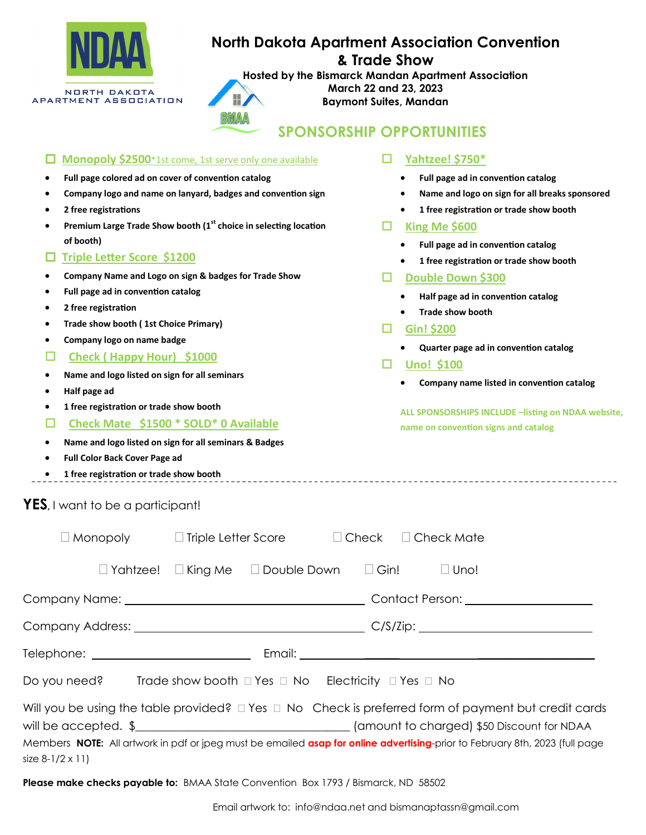

# **North Dakota Apartment Association Convention**

**& Trade Show**

**Hosted by the Bismarck Mandan Apartment Association March 22 and 23, 2023**

**Baymont Suites, Mandan**

| BMAA |  |
|------|--|

## **SPONSORSHIP OPPORTUNITIES**

| <b>Monopoly \$2500</b> *1st come, 1st serve only one available                                                              | Yahtzee! \$750*                                    |
|-----------------------------------------------------------------------------------------------------------------------------|----------------------------------------------------|
| Full page colored ad on cover of convention catalog                                                                         | Full page ad in convention catalog                 |
| Company logo and name on lanyard, badges and convention sign                                                                | Name and logo on sign for all breaks sponsored     |
| 2 free registrations                                                                                                        | 1 free registration or trade show booth            |
| Premium Large Trade Show booth (1st choice in selecting location                                                            | □<br>King Me \$600                                 |
| of booth)                                                                                                                   | Full page ad in convention catalog                 |
| <b>Triple Letter Score \$1200</b>                                                                                           | 1 free registration or trade show booth            |
| Company Name and Logo on sign & badges for Trade Show                                                                       | Double Down \$300<br>□                             |
| Full page ad in convention catalog                                                                                          | Half page ad in convention catalog                 |
| 2 free registration                                                                                                         | <b>Trade show booth</b>                            |
| Trade show booth (1st Choice Primary)                                                                                       | Gin! \$200<br>□                                    |
| Company logo on name badge                                                                                                  | Quarter page ad in convention catalog              |
| Check (Happy Hour) \$1000                                                                                                   | <b>Uno! \$100</b>                                  |
| Name and logo listed on sign for all seminars                                                                               | Company name listed in convention catalog          |
| Half page ad                                                                                                                |                                                    |
| 1 free registration or trade show booth                                                                                     | ALL SPONSORSHIPS INCLUDE -listing on NDAA website, |
| Check Mate \$1500 * SOLD* 0 Available                                                                                       | name on convention signs and catalog               |
| Name and logo listed on sign for all seminars & Badges                                                                      |                                                    |
| Full Color Back Cover Page ad                                                                                               |                                                    |
| 1 free registration or trade show booth                                                                                     |                                                    |
| YES, I want to be a participant!                                                                                            |                                                    |
| $\Box$ Monopoly<br>$\Box$ Triple Letter Score<br>$\Box$ Check                                                               | $\Box$ Check Mate                                  |
| Yahtzee!<br>$\Box$ King Me<br>Double Down                                                                                   | $\Box$ Gin!<br>$\square$ Uno!                      |
| Company Name: _                                                                                                             | Contact Person: _____                              |
|                                                                                                                             |                                                    |
|                                                                                                                             |                                                    |
| Do you need?<br>Trade show booth □ Yes □ No Electricity □ Yes □ No                                                          |                                                    |
| Will you be using the table provided? $\Box$ Yes $\Box$ No Check is preferred form of payment but credit cards              |                                                    |
|                                                                                                                             |                                                    |
| Members NOTE: All artwork in pdf or jpeg must be emailed asap for online advertising-prior to February 8th, 2023 (full page |                                                    |
|                                                                                                                             |                                                    |

size 8-1/2 x 11)

**Please make checks payable to:** BMAA State Convention Box 1793 / Bismarck, ND 58502